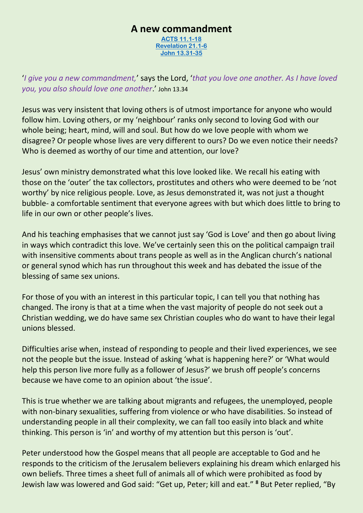## **A new commandment**

**[ACTS 11.1-18](https://www.biblegateway.com/passage/?search=Acts%2011%3A1-18&version=NIV) [Revelation 21.1-6](https://www.biblegateway.com/passage/?search=Revelation+21.1-6&version=NIV) [John 13.31-35](https://www.biblegateway.com/passage/?search=John+13.31-35&version=NIV)**

'*I give you a new commandment,*' says the Lord, '*that you love one another. As I have loved you, you also should love one another*.' John 13.34

Jesus was very insistent that loving others is of utmost importance for anyone who would follow him. Loving others, or my 'neighbour' ranks only second to loving God with our whole being; heart, mind, will and soul. But how do we love people with whom we disagree? Or people whose lives are very different to ours? Do we even notice their needs? Who is deemed as worthy of our time and attention, our love?

Jesus' own ministry demonstrated what this love looked like. We recall his eating with those on the 'outer' the tax collectors, prostitutes and others who were deemed to be 'not worthy' by nice religious people. Love, as Jesus demonstrated it, was not just a thought bubble- a comfortable sentiment that everyone agrees with but which does little to bring to life in our own or other people's lives.

And his teaching emphasises that we cannot just say 'God is Love' and then go about living in ways which contradict this love. We've certainly seen this on the political campaign trail with insensitive comments about trans people as well as in the Anglican church's national or general synod which has run throughout this week and has debated the issue of the blessing of same sex unions.

For those of you with an interest in this particular topic, I can tell you that nothing has changed. The irony is that at a time when the vast majority of people do not seek out a Christian wedding, we do have same sex Christian couples who do want to have their legal unions blessed.

Difficulties arise when, instead of responding to people and their lived experiences, we see not the people but the issue. Instead of asking 'what is happening here?' or 'What would help this person live more fully as a follower of Jesus?' we brush off people's concerns because we have come to an opinion about 'the issue'.

This is true whether we are talking about migrants and refugees, the unemployed, people with non-binary sexualities, suffering from violence or who have disabilities. So instead of understanding people in all their complexity, we can fall too easily into black and white thinking. This person is 'in' and worthy of my attention but this person is 'out'.

Peter understood how the Gospel means that all people are acceptable to God and he responds to the criticism of the Jerusalem believers explaining his dream which enlarged his own beliefs. Three times a sheet full of animals all of which were prohibited as food by Jewish law was lowered and God said: "Get up, Peter; kill and eat." **<sup>8</sup>** But Peter replied, "By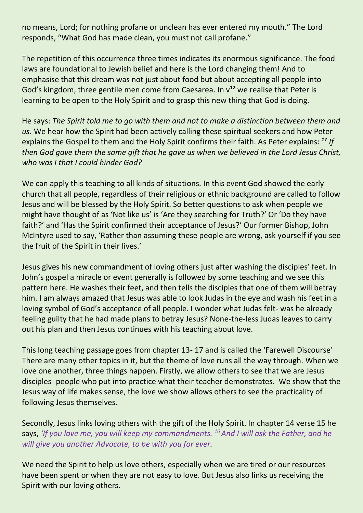no means, Lord; for nothing profane or unclean has ever entered my mouth." The Lord responds, "What God has made clean, you must not call profane."

The repetition of this occurrence three times indicates its enormous significance. The food laws are foundational to Jewish belief and here is the Lord changing them! And to emphasise that this dream was not just about food but about accepting all people into God's kingdom, three gentile men come from Caesarea. In v**<sup>12</sup>** we realise that Peter is learning to be open to the Holy Spirit and to grasp this new thing that God is doing.

He says: *The Spirit told me to go with them and not to make a distinction between them and us.* We hear how the Spirit had been actively calling these spiritual seekers and how Peter explains the Gospel to them and the Holy Spirit confirms their faith. As Peter explains: *<sup>17</sup> If then God gave them the same gift that he gave us when we believed in the Lord Jesus Christ, who was I that I could hinder God?*

We can apply this teaching to all kinds of situations. In this event God showed the early church that all people, regardless of their religious or ethnic background are called to follow Jesus and will be blessed by the Holy Spirit. So better questions to ask when people we might have thought of as 'Not like us' is 'Are they searching for Truth?' Or 'Do they have faith?' and 'Has the Spirit confirmed their acceptance of Jesus?' Our former Bishop, John McIntyre used to say, 'Rather than assuming these people are wrong, ask yourself if you see the fruit of the Spirit in their lives.'

Jesus gives his new commandment of loving others just after washing the disciples' feet. In John's gospel a miracle or event generally is followed by some teaching and we see this pattern here. He washes their feet, and then tells the disciples that one of them will betray him. I am always amazed that Jesus was able to look Judas in the eye and wash his feet in a loving symbol of God's acceptance of all people. I wonder what Judas felt- was he already feeling guilty that he had made plans to betray Jesus? None-the-less Judas leaves to carry out his plan and then Jesus continues with his teaching about love.

This long teaching passage goes from chapter 13- 17 and is called the 'Farewell Discourse' There are many other topics in it, but the theme of love runs all the way through. When we love one another, three things happen. Firstly, we allow others to see that we are Jesus disciples- people who put into practice what their teacher demonstrates. We show that the Jesus way of life makes sense, the love we show allows others to see the practicality of following Jesus themselves.

Secondly, Jesus links loving others with the gift of the Holy Spirit. In chapter 14 verse 15 he says, *'If you love me, you will keep my commandments. <sup>16</sup>And I will ask the Father, and he will give you another Advocate, to be with you for ever.*

We need the Spirit to help us love others, especially when we are tired or our resources have been spent or when they are not easy to love. But Jesus also links us receiving the Spirit with our loving others.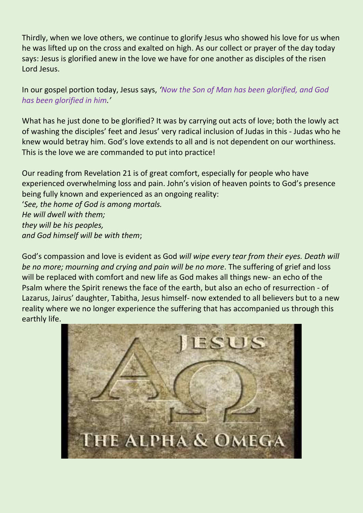Thirdly, when we love others, we continue to glorify Jesus who showed his love for us when he was lifted up on the cross and exalted on high. As our collect or prayer of the day today says: Jesus is glorified anew in the love we have for one another as disciples of the risen Lord Jesus.

In our gospel portion today, Jesus says, *'Now the Son of Man has been glorified, and God has been glorified in him.'*

What has he just done to be glorified? It was by carrying out acts of love; both the lowly act of washing the disciples' feet and Jesus' very radical inclusion of Judas in this - Judas who he knew would betray him. God's love extends to all and is not dependent on our worthiness. This is the love we are commanded to put into practice!

Our reading from Revelation 21 is of great comfort, especially for people who have experienced overwhelming loss and pain. John's vision of heaven points to God's presence being fully known and experienced as an ongoing reality: '*See, the home of God is among mortals. He will dwell with them; they will be his peoples, and God himself will be with them*;

God's compassion and love is evident as God *will wipe every tear from their eyes. Death will be no more; mourning and crying and pain will be no more*. The suffering of grief and loss will be replaced with comfort and new life as God makes all things new- an echo of the Psalm where the Spirit renews the face of the earth, but also an echo of resurrection - of Lazarus, Jairus' daughter, Tabitha, Jesus himself- now extended to all believers but to a new reality where we no longer experience the suffering that has accompanied us through this earthly life.